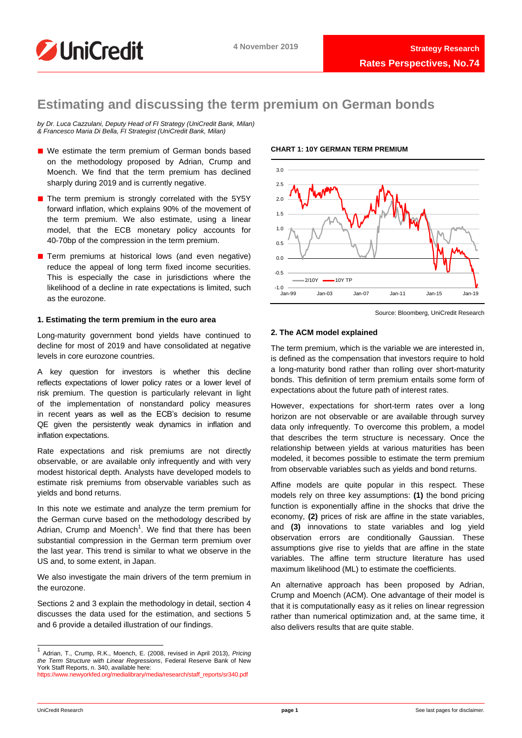

## **Estimating and discussing the term premium on German bonds**

*by Dr. Luca Cazzulani, Deputy Head of FI Strategy (UniCredit Bank, Milan) & Francesco Maria Di Bella, FI Strategist (UniCredit Bank, Milan)*

- We estimate the term premium of German bonds based on the methodology proposed by Adrian, Crump and Moench. We find that the term premium has declined sharply during 2019 and is currently negative.
- The term premium is strongly correlated with the 5Y5Y forward inflation, which explains 90% of the movement of the term premium. We also estimate, using a linear model, that the ECB monetary policy accounts for 40-70bp of the compression in the term premium.
- Term premiums at historical lows (and even negative) reduce the appeal of long term fixed income securities. This is especially the case in jurisdictions where the likelihood of a decline in rate expectations is limited, such as the eurozone.

### **1. Estimating the term premium in the euro area**

Long-maturity government bond yields have continued to decline for most of 2019 and have consolidated at negative levels in core eurozone countries.

A key question for investors is whether this decline reflects expectations of lower policy rates or a lower level of risk premium. The question is particularly relevant in light of the implementation of nonstandard policy measures in recent years as well as the ECB's decision to resume QE given the persistently weak dynamics in inflation and inflation expectations.

Rate expectations and risk premiums are not directly observable, or are available only infrequently and with very modest historical depth. Analysts have developed models to estimate risk premiums from observable variables such as yields and bond returns.

In this note we estimate and analyze the term premium for the German curve based on the methodology described by Adrian, Crump and Moench<sup>1</sup>. We find that there has been substantial compression in the German term premium over the last year. This trend is similar to what we observe in the US and, to some extent, in Japan.

We also investigate the main drivers of the term premium in the eurozone.

Sections 2 and 3 explain the methodology in detail, section 4 discusses the data used for the estimation, and sections 5 and 6 provide a detailed illustration of our findings.

### **CHART 1: 10Y GERMAN TERM PREMIUM**



Source: Bloomberg, UniCredit Research

### **2. The ACM model explained**

The term premium, which is the variable we are interested in, is defined as the compensation that investors require to hold a long-maturity bond rather than rolling over short-maturity bonds. This definition of term premium entails some form of expectations about the future path of interest rates.

However, expectations for short-term rates over a long horizon are not observable or are available through survey data only infrequently. To overcome this problem, a model that describes the term structure is necessary. Once the relationship between yields at various maturities has been modeled, it becomes possible to estimate the term premium from observable variables such as yields and bond returns.

Affine models are quite popular in this respect. These models rely on three key assumptions: **(1)** the bond pricing function is exponentially affine in the shocks that drive the economy, **(2)** prices of risk are affine in the state variables, and **(3)** innovations to state variables and log yield observation errors are conditionally Gaussian. These assumptions give rise to yields that are affine in the state variables. The affine term structure literature has used maximum likelihood (ML) to estimate the coefficients.

An alternative approach has been proposed by Adrian, Crump and Moench (ACM). One advantage of their model is that it is computationally easy as it relies on linear regression rather than numerical optimization and, at the same time, it also delivers results that are quite stable.

<sup>1</sup> Adrian, T., Crump, R.K., Moench, E. (2008, revised in April 2013), *Pricing the Term Structure with Linear Regressions*, Federal Reserve Bank of New York Staff Reports, n. 340, available here: [https://www.newyorkfed.org/medialibrary/media/research/staff\\_reports/sr340.pdf](https://www.newyorkfed.org/medialibrary/media/research/staff_reports/sr340.pdf)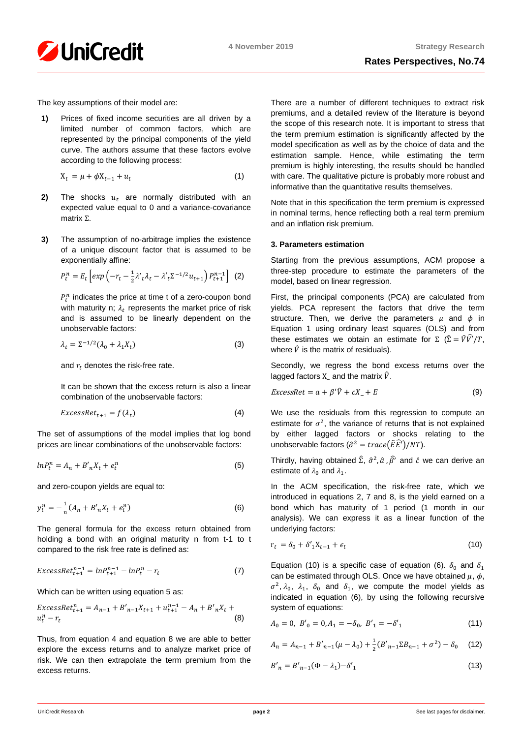

The key assumptions of their model are:

**1)** Prices of fixed income securities are all driven by a limited number of common factors, which are represented by the principal components of the yield curve. The authors assume that these factors evolve according to the following process:

$$
X_t = \mu + \phi X_{t-1} + u_t \tag{1}
$$

- **2)** The shocks  $u_t$  are normally distributed with an expected value equal to 0 and a variance-covariance matrix Σ.
- **3)** The assumption of no-arbitrage implies the existence of a unique discount factor that is assumed to be exponentially affine:

$$
P_t^n = E_t \left[ exp \left( -r_t - \frac{1}{2} \lambda' t \lambda_t - \lambda' t^{2^{-1/2} u_{t+1}} \right) P_{t+1}^{n-1} \right] \tag{2}
$$

 $P_t^n$  indicates the price at time t of a zero-coupon bond with maturity n;  $\lambda_t$  represents the market price of risk and is assumed to be linearly dependent on the unobservable factors:

$$
\lambda_t = \Sigma^{-1/2} (\lambda_0 + \lambda_1 X_t) \tag{3}
$$

and  $r_t$  denotes the risk-free rate.

It can be shown that the excess return is also a linear combination of the unobservable factors:

$$
ExcessRet_{t+1} = f(\lambda_t) \tag{4}
$$

The set of assumptions of the model implies that log bond prices are linear combinations of the unobservable factors:

$$
ln P_t^n = A_n + B'_n X_t + e_t^n \tag{5}
$$

and zero-coupon yields are equal to:

$$
y_t^n = -\frac{1}{n}(A_n + B'_n X_t + e_t^n)
$$
 (6)

The general formula for the excess return obtained from holding a bond with an original maturity n from t-1 to t compared to the risk free rate is defined as:

$$
ExcessRet_{t+1}^{n-1} = lnP_{t+1}^{n-1} - lnP_t^n - r_t
$$
\n(7)

Which can be written using equation 5 as:

$$
ExcessRet_{t+1}^{n} = A_{n-1} + B'_{n-1}X_{t+1} + u_{t+1}^{n-1} - A_n + B'_{n}X_t + u_t^n - r_t
$$
\n(8)

Thus, from equation 4 and equation 8 we are able to better explore the excess returns and to analyze market price of risk. We can then extrapolate the term premium from the excess returns.

There are a number of different techniques to extract risk premiums, and a detailed review of the literature is beyond the scope of this research note. It is important to stress that the term premium estimation is significantly affected by the model specification as well as by the choice of data and the estimation sample. Hence, while estimating the term premium is highly interesting, the results should be handled with care. The qualitative picture is probably more robust and informative than the quantitative results themselves.

Note that in this specification the term premium is expressed in nominal terms, hence reflecting both a real term premium and an inflation risk premium.

### **3. Parameters estimation**

Starting from the previous assumptions, ACM propose a three-step procedure to estimate the parameters of the model, based on linear regression.

First, the principal components (PCA) are calculated from yields. PCA represent the factors that drive the term structure. Then, we derive the parameters  $\mu$  and  $\phi$  in Equation 1 using ordinary least squares (OLS) and from these estimates we obtain an estimate for  $\Sigma$  ( $\hat{\Sigma} = \hat{V}\hat{V}'/T$ , where  $\hat{V}$  is the matrix of residuals).

Secondly, we regress the bond excess returns over the lagged factors  $X$  and the matrix  $\hat{V}$ .

$$
ExcessRet = a + \beta' \hat{V} + cX_{-} + E \tag{9}
$$

We use the residuals from this regression to compute an estimate for  $\sigma^2$ , the variance of returns that is not explained by either lagged factors or shocks relating to the unobservable factors  $(\hat{\sigma}^2 = trace(\hat{E}\hat{E'})/NT)$ .

Thirdly, having obtained  $\hat{\Sigma}$ ,  $\hat{\sigma}^2$ ,  $\hat{a}$ ,  $\hat{\beta}'$  and  $\hat{c}$  we can derive an estimate of  $\lambda_0$  and  $\lambda_1$ .

In the ACM specification, the risk-free rate, which we introduced in equations 2, 7 and 8, is the yield earned on a bond which has maturity of 1 period (1 month in our analysis). We can express it as a linear function of the underlying factors:

$$
r_t = \delta_0 + \delta'_1 X_{t-1} + \epsilon_t \tag{10}
$$

Equation (10) is a specific case of equation (6).  $\delta_0$  and  $\delta_1$ can be estimated through OLS. Once we have obtained  $\mu$ ,  $\phi$ ,  $\sigma^2$ ,  $\lambda_0$ ,  $\lambda_1$ ,  $\delta_0$  and  $\delta_1$ , we compute the model yields as indicated in equation (6), by using the following recursive system of equations:

$$
A_0 = 0, B'_0 = 0, A_1 = -\delta_0, B'_1 = -\delta'_1 \tag{11}
$$

$$
A_n = A_{n-1} + B'_{n-1}(\mu - \lambda_0) + \frac{1}{2}(B'_{n-1}\Sigma B_{n-1} + \sigma^2) - \delta_0 \quad (12)
$$

$$
B'_n = B'_{n-1}(\Phi - \lambda_1) - \delta'_1 \tag{13}
$$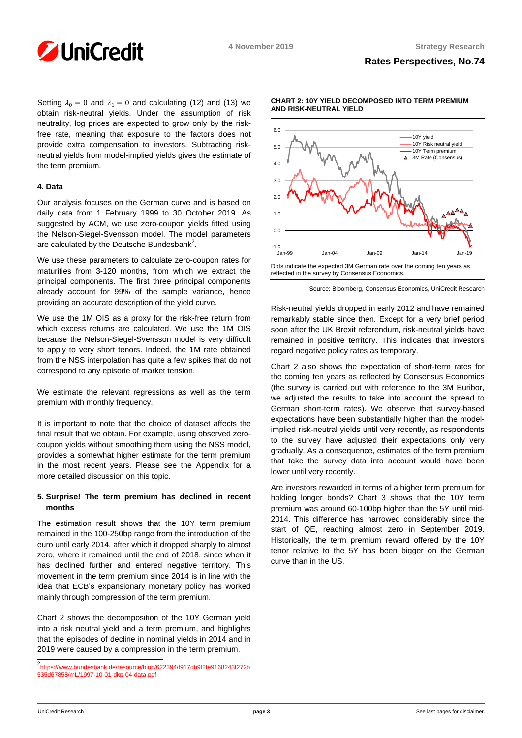

Setting  $\lambda_0 = 0$  and  $\lambda_1 = 0$  and calculating (12) and (13) we obtain risk-neutral yields. Under the assumption of risk neutrality, log prices are expected to grow only by the riskfree rate, meaning that exposure to the factors does not provide extra compensation to investors. Subtracting riskneutral yields from model-implied yields gives the estimate of the term premium.

### **4. Data**

Our analysis focuses on the German curve and is based on daily data from 1 February 1999 to 30 October 2019. As suggested by ACM, we use zero-coupon yields fitted using the Nelson-Siegel-Svensson model. The model parameters are calculated by the Deutsche Bundesbank<sup>2</sup>.

We use these parameters to calculate zero-coupon rates for maturities from 3-120 months, from which we extract the principal components. The first three principal components already account for 99% of the sample variance, hence providing an accurate description of the yield curve.

We use the 1M OIS as a proxy for the risk-free return from which excess returns are calculated. We use the 1M OIS because the Nelson-Siegel-Svensson model is very difficult to apply to very short tenors. Indeed, the 1M rate obtained from the NSS interpolation has quite a few spikes that do not correspond to any episode of market tension.

We estimate the relevant regressions as well as the term premium with monthly frequency.

It is important to note that the choice of dataset affects the final result that we obtain. For example, using observed zerocoupon yields without smoothing them using the NSS model, provides a somewhat higher estimate for the term premium in the most recent years. Please see the Appendix for a more detailed discussion on this topic.

### **5. Surprise! The term premium has declined in recent months**

The estimation result shows that the 10Y term premium remained in the 100-250bp range from the introduction of the euro until early 2014, after which it dropped sharply to almost zero, where it remained until the end of 2018, since when it has declined further and entered negative territory. This movement in the term premium since 2014 is in line with the idea that ECB's expansionary monetary policy has worked mainly through compression of the term premium.

Chart 2 shows the decomposition of the 10Y German yield into a risk neutral yield and a term premium, and highlights that the episodes of decline in nominal yields in 2014 and in 2019 were caused by a compression in the term premium.



#### **CHART 2: 10Y YIELD DECOMPOSED INTO TERM PREMIUM AND RISK-NEUTRAL YIELD**

reflected in the survey by Consensus Economics.

Source: Bloomberg, Consensus Economics, UniCredit Research

Risk-neutral yields dropped in early 2012 and have remained remarkably stable since then. Except for a very brief period soon after the UK Brexit referendum, risk-neutral yields have remained in positive territory. This indicates that investors regard negative policy rates as temporary.

Chart 2 also shows the expectation of short-term rates for the coming ten years as reflected by Consensus Economics (the survey is carried out with reference to the 3M Euribor, we adjusted the results to take into account the spread to German short-term rates). We observe that survey-based expectations have been substantially higher than the modelimplied risk-neutral yields until very recently, as respondents to the survey have adjusted their expectations only very gradually. As a consequence, estimates of the term premium that take the survey data into account would have been lower until very recently.

Are investors rewarded in terms of a higher term premium for holding longer bonds? Chart 3 shows that the 10Y term premium was around 60-100bp higher than the 5Y until mid-2014. This difference has narrowed considerably since the start of QE, reaching almost zero in September 2019. Historically, the term premium reward offered by the 10Y tenor relative to the 5Y has been bigger on the German curve than in the US.

 2 [https://www.bundesbank.de/resource/blob/622394/f917db9f2fe9168243f272b](https://www.bundesbank.de/resource/blob/622394/f917db9f2fe9168243f272b535d67858/mL/1997-10-01-dkp-04-data.pdf) [535d67858/mL/1997-10-01-dkp-04-data.pdf](https://www.bundesbank.de/resource/blob/622394/f917db9f2fe9168243f272b535d67858/mL/1997-10-01-dkp-04-data.pdf)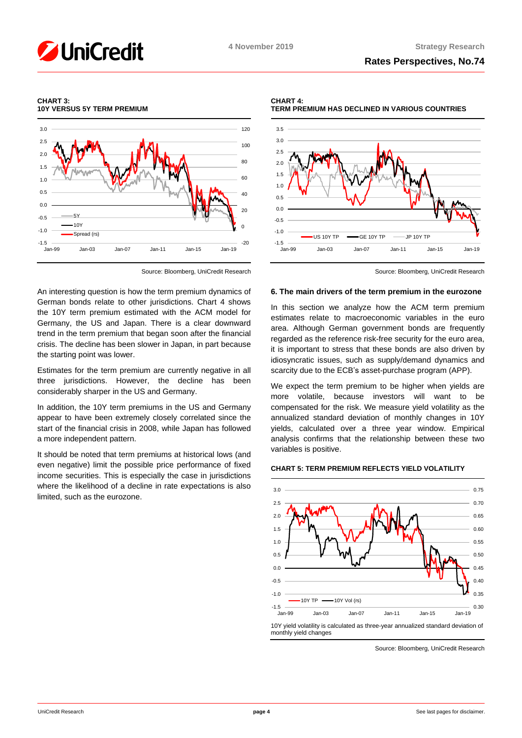#### **CHART 3: 10Y VERSUS 5Y TERM PREMIUM**



Source: Bloomberg, UniCredit Research

An interesting question is how the term premium dynamics of German bonds relate to other jurisdictions. Chart 4 shows the 10Y term premium estimated with the ACM model for Germany, the US and Japan. There is a clear downward trend in the term premium that began soon after the financial crisis. The decline has been slower in Japan, in part because the starting point was lower.

Estimates for the term premium are currently negative in all three jurisdictions. However, the decline has been considerably sharper in the US and Germany.

In addition, the 10Y term premiums in the US and Germany appear to have been extremely closely correlated since the start of the financial crisis in 2008, while Japan has followed a more independent pattern.

It should be noted that term premiums at historical lows (and even negative) limit the possible price performance of fixed income securities. This is especially the case in jurisdictions where the likelihood of a decline in rate expectations is also limited, such as the eurozone.

**CHART 4: TERM PREMIUM HAS DECLINED IN VARIOUS COUNTRIES**



Source: Bloomberg, UniCredit Research

#### **6. The main drivers of the term premium in the eurozone**

In this section we analyze how the ACM term premium estimates relate to macroeconomic variables in the euro area. Although German government bonds are frequently regarded as the reference risk-free security for the euro area, it is important to stress that these bonds are also driven by idiosyncratic issues, such as supply/demand dynamics and scarcity due to the ECB's asset-purchase program (APP).

We expect the term premium to be higher when yields are more volatile, because investors will want to be compensated for the risk. We measure yield volatility as the annualized standard deviation of monthly changes in 10Y yields, calculated over a three year window. Empirical analysis confirms that the relationship between these two variables is positive.

#### **CHART 5: TERM PREMIUM REFLECTS YIELD VOLATILITY**



Source: Bloomberg, UniCredit Research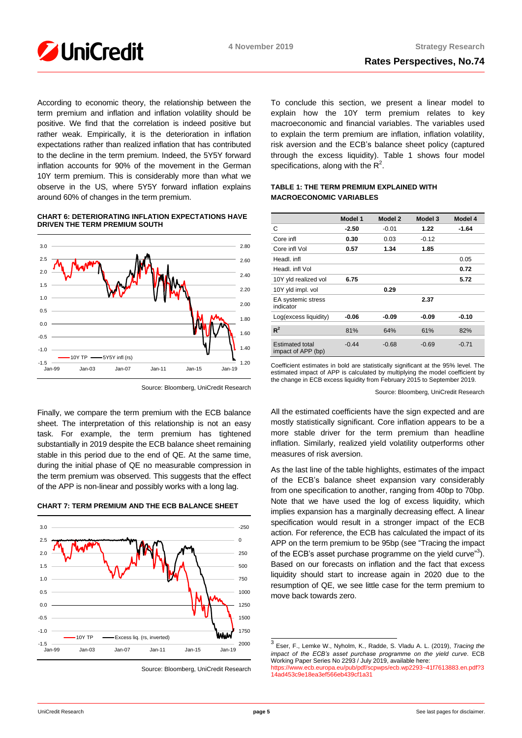

According to economic theory, the relationship between the term premium and inflation and inflation volatility should be positive. We find that the correlation is indeed positive but rather weak. Empirically, it is the deterioration in inflation expectations rather than realized inflation that has contributed to the decline in the term premium. Indeed, the 5Y5Y forward inflation accounts for 90% of the movement in the German 10Y term premium. This is considerably more than what we observe in the US, where 5Y5Y forward inflation explains around 60% of changes in the term premium.

### **CHART 6: DETERIORATING INFLATION EXPECTATIONS HAVE DRIVEN THE TERM PREMIUM SOUTH**



Source: Bloomberg, UniCredit Research

Finally, we compare the term premium with the ECB balance sheet. The interpretation of this relationship is not an easy task. For example, the term premium has tightened substantially in 2019 despite the ECB balance sheet remaining stable in this period due to the end of QE. At the same time, during the initial phase of QE no measurable compression in the term premium was observed. This suggests that the effect of the APP is non-linear and possibly works with a long lag.

**CHART 7: TERM PREMIUM AND THE ECB BALANCE SHEET**



Source: Bloomberg, UniCredit Research

To conclude this section, we present a linear model to explain how the 10Y term premium relates to key macroeconomic and financial variables. The variables used to explain the term premium are inflation, inflation volatility, risk aversion and the ECB's balance sheet policy (captured through the excess liquidity). Table 1 shows four model specifications, along with the  $R^2$ .

### **TABLE 1: THE TERM PREMIUM EXPLAINED WITH MACROECONOMIC VARIABLES**

|                                              | Model 1 | Model 2 | Model 3 | Model 4 |  |
|----------------------------------------------|---------|---------|---------|---------|--|
| C                                            | -2.50   | $-0.01$ | 1.22    | -1.64   |  |
| Core infl                                    | 0.30    | 0.03    | $-0.12$ |         |  |
| Core infl Vol                                | 0.57    | 1.34    | 1.85    |         |  |
| Headl, infl.                                 |         |         |         | 0.05    |  |
| Headl, infl Vol                              |         |         |         | 0.72    |  |
| 10Y yld realized vol                         | 6.75    |         |         | 5.72    |  |
| 10Y yld impl. vol                            |         | 0.29    |         |         |  |
| EA systemic stress<br>indicator              |         |         | 2.37    |         |  |
| Log(excess liquidity)                        | -0.06   | -0.09   | $-0.09$ | $-0.10$ |  |
| $R^2$                                        | 81%     | 64%     | 61%     | 82%     |  |
| <b>Estimated total</b><br>impact of APP (bp) | $-0.44$ | $-0.68$ | $-0.69$ | $-0.71$ |  |

Coefficient estimates in bold are statistically significant at the 95% level. The estimated impact of APP is calculated by multiplying the model coefficient by the change in ECB excess liquidity from February 2015 to September 2019.

Source: Bloomberg, UniCredit Research

All the estimated coefficients have the sign expected and are mostly statistically significant. Core inflation appears to be a more stable driver for the term premium than headline inflation. Similarly, realized yield volatility outperforms other measures of risk aversion.

As the last line of the table highlights, estimates of the impact of the ECB's balance sheet expansion vary considerably from one specification to another, ranging from 40bp to 70bp. Note that we have used the log of excess liquidity, which implies expansion has a marginally decreasing effect. A linear specification would result in a stronger impact of the ECB action. For reference, the ECB has calculated the impact of its APP on the term premium to be 95bp (see "Tracing the impact of the ECB's asset purchase programme on the yield curve"<sup>3</sup>). Based on our forecasts on inflation and the fact that excess liquidity should start to increase again in 2020 due to the resumption of QE, we see little case for the term premium to move back towards zero.

 3 Eser, F., Lemke W., Nyholm, K., Radde, S. Vladu A. L. (2019), *Tracing the impact of the ECB's asset purchase programme on the yield curve*. ECB Working Paper Series No 2293 / July 2019, available here: [https://www.ecb.europa.eu/pub/pdf/scpwps/ecb.wp2293~41f7613883.en.pdf?3](https://www.ecb.europa.eu/pub/pdf/scpwps/ecb.wp2293~41f7613883.en.pdf?314ad453c9e18ea3ef566eb439cf1a31) [14ad453c9e18ea3ef566eb439cf1a31](https://www.ecb.europa.eu/pub/pdf/scpwps/ecb.wp2293~41f7613883.en.pdf?314ad453c9e18ea3ef566eb439cf1a31)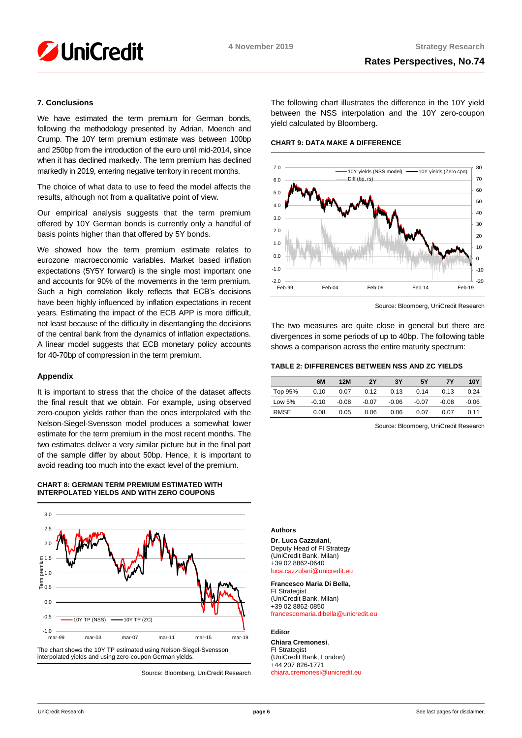

### **7. Conclusions**

We have estimated the term premium for German bonds, following the methodology presented by Adrian, Moench and Crump. The 10Y term premium estimate was between 100bp and 250bp from the introduction of the euro until mid-2014, since when it has declined markedly. The term premium has declined markedly in 2019, entering negative territory in recent months.

The choice of what data to use to feed the model affects the results, although not from a qualitative point of view.

Our empirical analysis suggests that the term premium offered by 10Y German bonds is currently only a handful of basis points higher than that offered by 5Y bonds.

We showed how the term premium estimate relates to eurozone macroeconomic variables. Market based inflation expectations (5Y5Y forward) is the single most important one and accounts for 90% of the movements in the term premium. Such a high correlation likely reflects that ECB's decisions have been highly influenced by inflation expectations in recent years. Estimating the impact of the ECB APP is more difficult, not least because of the difficulty in disentangling the decisions of the central bank from the dynamics of inflation expectations. A linear model suggests that ECB monetary policy accounts for 40-70bp of compression in the term premium.

### **Appendix**

It is important to stress that the choice of the dataset affects the final result that we obtain. For example, using observed zero-coupon yields rather than the ones interpolated with the Nelson-Siegel-Svensson model produces a somewhat lower estimate for the term premium in the most recent months. The two estimates deliver a very similar picture but in the final part of the sample differ by about 50bp. Hence, it is important to avoid reading too much into the exact level of the premium.

### **CHART 8: GERMAN TERM PREMIUM ESTIMATED WITH INTERPOLATED YIELDS AND WITH ZERO COUPONS**



interpolated yields and using zero-coupon German yields.

Source: Bloomberg, UniCredit Research

The following chart illustrates the difference in the 10Y yield between the NSS interpolation and the 10Y zero-coupon yield calculated by Bloomberg.

#### **CHART 9: DATA MAKE A DIFFERENCE**



Source: Bloomberg, UniCredit Research

The two measures are quite close in general but there are divergences in some periods of up to 40bp. The following table shows a comparison across the entire maturity spectrum:

#### **TABLE 2: DIFFERENCES BETWEEN NSS AND ZC YIELDS**

|          | 6M      | 12M     | 2Υ      | 3Υ      | 5Υ      | 7Υ      | 10Y     |
|----------|---------|---------|---------|---------|---------|---------|---------|
| Top 95%  | 0.10    | 0.07    | 0.12    | 0.13    | 0.14    | 0.13    | 0.24    |
| Low $5%$ | $-0.10$ | $-0.08$ | $-0.07$ | $-0.06$ | $-0.07$ | $-0.08$ | $-0.06$ |
| RMSE     | 0.08    | 0.05    | 0.06    | 0.06    | 0.07    | 0.07    | 0.11    |

Source: Bloomberg, UniCredit Research

#### **Authors**

**Dr. Luca Cazzulani**, Deputy Head of FI Strategy (UniCredit Bank, Milan) +39 02 8862-0640 [luca.cazzulani@unicredit.eu](mailto:luca.cazzulani@unicredit.eu)

### **Francesco Maria Di Bella**,

FI Strategist (UniCredit Bank, Milan)  $+39$  02 8862-0850 [francescomaria.dibella@unicredit.eu](mailto:francescomaria.dibella@unicredit.eu)

#### **Editor**

**Chiara Cremonesi**, FI Strategist (UniCredit Bank, London) +44 207 826-1771 [chiara.cremonesi@unicredit.eu](mailto:chiara.cremonesi@unicredit.eu)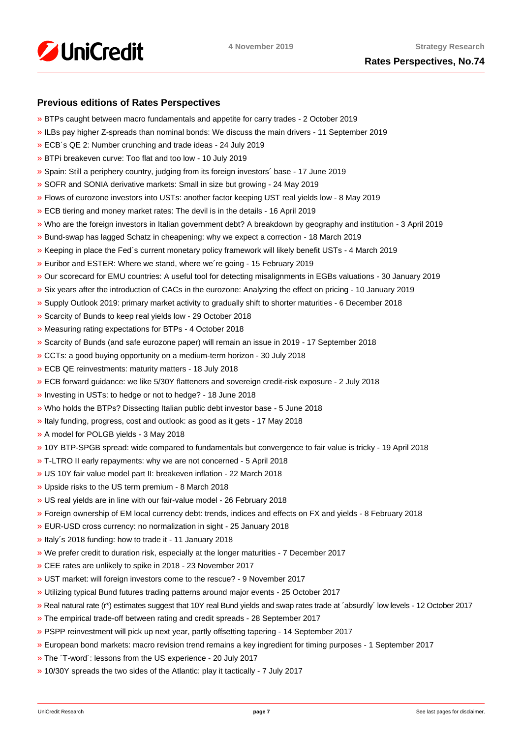

## **Previous editions of Rates Perspectives**

- [»](https://www.research.unicredit.eu/DocsKey/fxfistrategy_docs_2019_174747.ashx?EXT=pdf&KEY=KZGTuQCn4lsvclJnUgseVEGHysWJl2NshFxQRxeXxVYxi2cgVzAqQQ==&T=1) BTPs caught between macro fundamentals and appetite for carry trades 2 October 2019
- [»](https://www.research.unicredit.eu/DocsKey/fxfistrategy_docs_2019_174503.ashx?EXT=pdf&KEY=KZGTuQCn4lsvclJnUgseVEGHysWJl2NsCFMwr5HzJ17_YmUeW60-Ag==&T=1) ILBs pay higher Z-spreads than nominal bonds: We discuss the main drivers 11 September 2019
- [»](https://www.research.unicredit.eu/DocsKey/fxfistrategy_docs_2019_173046.ashx?EXT=pdf&KEY=KZGTuQCn4lsvclJnUgseVEGHysWJl2NsYmN8grxHaGuMlNiR5FCG-Q==&T=1) ECB´s QE 2: Number crunching and trade ideas 24 July 2019
- [»](https://www.research.unicredit.eu/DocsKey/fxfistrategy_docs_2019_172874.ashx?EXT=pdf&KEY=KZGTuQCn4lsvclJnUgseVEGHysWJl2NsU6w4VN1R8ufrSpaKVsG8hw==&T=1) BTPi breakeven curve: Too flat and too low 10 July 2019
- [»](https://www.research.unicredit.eu/DocsKey/fxfistrategy_docs_2019_172612.ashx?EXT=pdf&KEY=KZGTuQCn4lsvclJnUgseVEGHysWJl2Ns2prJ4cLGo5kZAYkhTSIwiQ==&T=1) Spain: Still a periphery country, judging from its foreign investors´ base 17 June 2019
- [»](https://www.research.unicredit.eu/DocsKey/fxfistrategy_docs_2019_172362.ashx?EXT=pdf&KEY=KZGTuQCn4lsvclJnUgseVEGHysWJl2NsmV7mtWY1YutdeERi5OnkvA==&T=1) SOFR and SONIA derivative markets: Small in size but growing 24 May 2019
- [»](https://www.research.unicredit.eu/DocsKey/fxfistrategy_docs_2019_171193.ashx?EXT=pdf&KEY=KZGTuQCn4lsvclJnUgseVEGHysWJl2NsQ363zHJuO-4ubO81Q09WWw==&T=1) Flows of eurozone investors into USTs: another factor keeping UST real yields low 8 May 2019
- [»](https://www.research.unicredit.eu/DocsKey/fxfistrategy_docs_2019_170974.ashx?EXT=pdf&KEY=KZGTuQCn4lsvclJnUgseVEGHysWJl2NsRTomOaKjVl9lFV8OK8lXLA==&T=1) ECB tiering and money market rates: The devil is in the details 16 April 2019
- [»](https://www.research.unicredit.eu/DocsKey/fxfistrategy_docs_2019_170284.ashx?EXT=pdf&KEY=KZGTuQCn4lsvclJnUgseVEGHysWJl2NsEwG0xblWxFK9BVQAB4eryA==&T=1) Who are the foreign investors in Italian government debt? A breakdown by geography and institution 3 April 2019
- [»](https://www.research.unicredit.eu/DocsKey/fxfistrategy_docs_2019_170066.ashx?EXT=pdf&KEY=KZGTuQCn4lsvclJnUgseVEGHysWJl2NsNOWCS-vPqTdpZhijXIyJ5Q==&T=1) Bund-swap has lagged Schatz in cheapening: why we expect a correction 18 March 2019
- [»](https://www.research.unicredit.eu/DocsKey/fxfistrategy_docs_2019_169883.ashx?EXT=pdf&KEY=KZGTuQCn4lsvclJnUgseVEGHysWJl2Nsz9dXRsXwpAsZUUpCjW9eRw==&T=1) Keeping in place the Fed´s current monetary policy framework will likely benefit USTs 4 March 2019
- [»](https://www.research.unicredit.eu/DocsKey/fxfistrategy_docs_2019_169681.ashx?EXT=pdf&KEY=KZGTuQCn4lsvclJnUgseVEGHysWJl2NsvFsIe2gTc3YHhaYXz8CyMQ==&T=1) Euribor and ESTER: Where we stand, where we´re going 15 February 2019
- [»](https://www.research.unicredit.eu/DocsKey/fxfistrategy_docs_2019_168976.ashx?EXT=pdf&KEY=KZGTuQCn4lsvclJnUgseVEGHysWJl2NsBRIhGRL9OpCAofKNpRdbqw==&T=1) Our scorecard for EMU countries: A useful tool for detecting misalignments in EGBs valuations 30 January 2019
- [»](https://www.research.unicredit.eu/DocsKey/fxfistrategy_docs_2019_168690.ashx?EXT=pdf&KEY=KZGTuQCn4lsvclJnUgseVEGHysWJl2Ns6zwNCeXNSn5_WEAdcnzkSw==&T=1) Six years after the introduction of CACs in the eurozone: Analyzing the effect on pricing 10 January 2019
- [»](https://www.research.unicredit.eu/DocsKey/fxfistrategy_docs_2018_168081.ashx?EXT=pdf&KEY=KZGTuQCn4lsvclJnUgseVGkpNcRXR5-WdODblZpTi0A4RE9IYOSOOA==&T=1) Supply Outlook 2019: primary market activity to gradually shift to shorter maturities 6 December 2018
- [»](https://www.research.unicredit.eu/DocsKey/fxfistrategy_docs_2018_167651.ashx?EXT=pdf&KEY=KZGTuQCn4lsvclJnUgseVGkpNcRXR5-WLbIUypeIHxyD3rdrNgjwjg==&T=1) Scarcity of Bunds to keep real yields low 29 October 2018
- [»](https://www.research.unicredit.eu/DocsKey/fxfistrategy_docs_2018_167362.ashx?EXT=pdf&KEY=KZGTuQCn4lsvclJnUgseVGkpNcRXR5-W7gOokc4_UKGkd-Hy3Wx_vg==&T=1) Measuring rating expectations for BTPs 4 October 2018
- [»](https://www.research.unicredit.eu/DocsKey/fxfistrategy_docs_2018_167162.ashx?EXT=pdf&KEY=KZGTuQCn4lsvclJnUgseVGkpNcRXR5-WLonU6aW-riDJHVt4RBRKJQ==&T=1) Scarcity of Bunds (and safe eurozone paper) will remain an issue in 2019 17 September 2018
- [»](https://www.research.unicredit.eu/DocsKey/fxfistrategy_docs_2018_166735.ashx?EXT=pdf&KEY=KZGTuQCn4lsvclJnUgseVGkpNcRXR5-WJcyLXLDNCHrk_1IGoA85eQ==&T=1) CCTs: a good buying opportunity on a medium-term horizon 30 July 2018
- [»](https://www.research.unicredit.eu/DocsKey/fxfistrategy_docs_2018_165506.ashx?EXT=pdf&KEY=KZGTuQCn4lsvclJnUgseVGkpNcRXR5-WelAdBLCjwv2CsrEf1G_7vA==&T=1) ECB QE reinvestments: maturity matters 18 July 2018
- [»](https://www.research.unicredit.eu/DocsKey/fxfistrategy_docs_2018_165296.ashx?EXT=pdf&KEY=KZGTuQCn4lsvclJnUgseVGkpNcRXR5-Wl83fmK6epfPJRPrdFbpp8A==&T=1) ECB forward guidance: we like 5/30Y flatteners and sovereign credit-risk exposure 2 July 2018
- [»](https://www.research.unicredit.eu/DocsKey/fxfistrategy_docs_2018_165113.ashx?EXT=pdf&KEY=KZGTuQCn4lsvclJnUgseVGkpNcRXR5-WdMw8JSHF2Ih6d0UhMlk5iA==&T=1) Investing in USTs: to hedge or not to hedge? 18 June 2018
- [»](https://www.research.unicredit.eu/DocsKey/fxfistrategy_docs_2018_164967.ashx?EXT=pdf&KEY=KZGTuQCn4lsvclJnUgseVGkpNcRXR5-WLoNFhsvJBXHbE69WfFEurg==&T=1) Who holds the BTPs? Dissecting Italian public debt investor base 5 June 2018
- [»](https://www.research.unicredit.eu/DocsKey/fxfistrategy_docs_2018_164775.ashx?EXT=pdf&KEY=KZGTuQCn4lsvclJnUgseVGkpNcRXR5-WZF21zKfJuZ_5iLWWjJ2GpQ==&T=1) Italy funding, progress, cost and outlook: as good as it gets 17 May 2018
- [»](https://www.research.unicredit.eu/DocsKey/fxfistrategy_docs_2018_164589.ashx?EXT=pdf&KEY=KZGTuQCn4lsvclJnUgseVGkpNcRXR5-WHckxsj1laTH6N7QU0C6uzQ==&T=1) A model for POLGB yields 3 May 2018
- [»](https://www.research.unicredit.eu/DocsKey/fxfistrategy_docs_2018_164411.ashx?EXT=pdf&KEY=KZGTuQCn4lsvclJnUgseVGkpNcRXR5-W4Dmv9B6O0atd94s-0yUFlA==&T=1) 10Y BTP-SPGB spread: wide compared to fundamentals but convergence to fair value is tricky 19 April 2018
- [»](https://www.research.unicredit.eu/DocsKey/fxfistrategy_docs_2018_164242.ashx?EXT=pdf&KEY=KZGTuQCn4lsvclJnUgseVGkpNcRXR5-WFjPeFcDloA2Q8h6v6oWNhw==&T=1) T-LTRO II early repayments: why we are not concerned 5 April 2018
- [»](https://www.research.unicredit.eu/DocsKey/fxfistrategy_docs_2018_164099.ashx?EXT=pdf&KEY=KZGTuQCn4lsvclJnUgseVGkpNcRXR5-WK-s5y8Kxt0FmgxTPbhrZtA==&T=1) US 10Y fair value model part II: breakeven inflation 22 March 2018
- [»](https://www.research.unicredit.eu/DocsKey/fxfistrategy_docs_2018_163914.ashx?EXT=pdf&KEY=KZGTuQCn4lsvclJnUgseVGkpNcRXR5-W6uAyZrmo_juOWp31QBzAwQ==&T=1) Upside risks to the US term premium 8 March 2018
- [»](https://www.research.unicredit.eu/DocsKey/fxfistrategy_docs_2018_163795.ashx?EXT=pdf&KEY=KZGTuQCn4lsvclJnUgseVGkpNcRXR5-W31oteEsRkw-wRr-E75wyXQ==&T=1) US real yields are in line with our fair-value model 26 February 2018
- [»](https://www.research.unicredit.eu/DocsKey/fxfistrategy_docs_2018_163569.ashx?EXT=pdf&KEY=KZGTuQCn4lsvclJnUgseVGkpNcRXR5-WOwinUv5yvR4A_iRZMMXqUg==&T=1) Foreign ownership of EM local currency debt: trends, indices and effects on FX and yields 8 February 2018
- [»](https://www.research.unicredit.eu/DocsKey/fxfistrategy_docs_2018_163350.ashx?EXT=pdf&KEY=KZGTuQCn4lsvclJnUgseVGkpNcRXR5-WSfc0pL8-Nw1KrcsN90zewQ==&T=1) EUR-USD cross currency: no normalization in sight 25 January 2018
- [»](https://www.research.unicredit.eu/DocsKey/fxfistrategy_docs_2018_163165.ashx?EXT=pdf&KEY=KZGTuQCn4lsvclJnUgseVGkpNcRXR5-WizOxQ_qd2pKve_EGsME8pw==&T=1) Italy´s 2018 funding: how to trade it 11 January 2018
- [»](https://www.research.unicredit.eu/DocsKey/fxfistrategy_docs_2017_162876.ashx?EXT=pdf&KEY=KZGTuQCn4lsvclJnUgseVBaZnvdiHIQjhlAgRXaAk9xO-WbIBHzmug==&T=1) We prefer credit to duration risk, especially at the longer maturities 7 December 2017
- [»](https://www.research.unicredit.eu/DocsKey/fxfistrategy_docs_2017_162702.ashx?EXT=pdf&KEY=KZGTuQCn4lsvclJnUgseVBaZnvdiHIQj7kV9jp7KGvx_rQqXOlHcBw==&T=1) CEE rates are unlikely to spike in 2018 23 November 2017
- [»](https://www.research.unicredit.eu/DocsKey/fxfistrategy_docs_2017_162521.ashx?EXT=pdf&KEY=KZGTuQCn4lsvclJnUgseVBaZnvdiHIQjHP5HTV6m0S1CZt4h4v7Z7Q==&T=1) UST market: will foreign investors come to the rescue? 9 November 2017
- [»](https://www.research.unicredit.eu/DocsKey/fxfistrategy_docs_2017_162320.ashx?EXT=pdf&KEY=KZGTuQCn4lsvclJnUgseVBaZnvdiHIQj7vBnJBqFdLl3ZPdTI9qTEg==&T=1) Utilizing typical Bund futures trading patterns around major events 25 October 2017
- [»](https://www.research.unicredit.eu/DocsKey/fxfistrategy_docs_2017_162088.ashx?EXT=pdf&KEY=KZGTuQCn4lsvclJnUgseVBaZnvdiHIQjLG2elrHjRgNsVyg0ExmjEg==&T=1) Real natural rate (r\*) estimates suggest that 10Y real Bund yields and swap rates trade at ´absurdly´ low levels 12 October 2017
- [»](https://www.research.unicredit.eu/DocsKey/fxfistrategy_docs_2017_161898.ashx?EXT=pdf&KEY=KZGTuQCn4lsvclJnUgseVBaZnvdiHIQjrj0KZCHHFHi6OScMLpHSeg==&T=1) The empirical trade-off between rating and credit spreads 28 September 2017
- [»](https://www.research.unicredit.eu/DocsKey/fxfistrategy_docs_2017_161722.ashx?EXT=pdf&KEY=KZGTuQCn4lsvclJnUgseVBaZnvdiHIQj2RiMvOdXRPDdJKTt9ts8Kg==&T=1) PSPP reinvestment will pick up next year, partly offsetting tapering 14 September 2017
- [»](https://www.research.unicredit.eu/DocsKey/fxfistrategy_docs_2017_161534.ashx?EXT=pdf&KEY=KZGTuQCn4lsvclJnUgseVBaZnvdiHIQjVxL97NWBQ2U0RIuZAXWj6Q==&T=1) European bond markets: macro revision trend remains a key ingredient for timing purposes 1 September 2017
- [»](https://www.research.unicredit.eu/DocsKey/fxfistrategy_docs_2017_161025.ashx?EXT=pdf&KEY=KZGTuQCn4lsvclJnUgseVBaZnvdiHIQjHTPE5wRiE1gKKsnUfpC3fQ==&T=1) The ´T-word´: lessons from the US experience 20 July 2017
- [»](https://www.research.unicredit.eu/DocsKey/fxfistrategy_docs_2017_160810.ashx?EXT=pdf&KEY=KZGTuQCn4lsvclJnUgseVBaZnvdiHIQjtaQqMdLfQgUWFRAgBEcyHQ==&T=1) 10/30Y spreads the two sides of the Atlantic: play it tactically 7 July 2017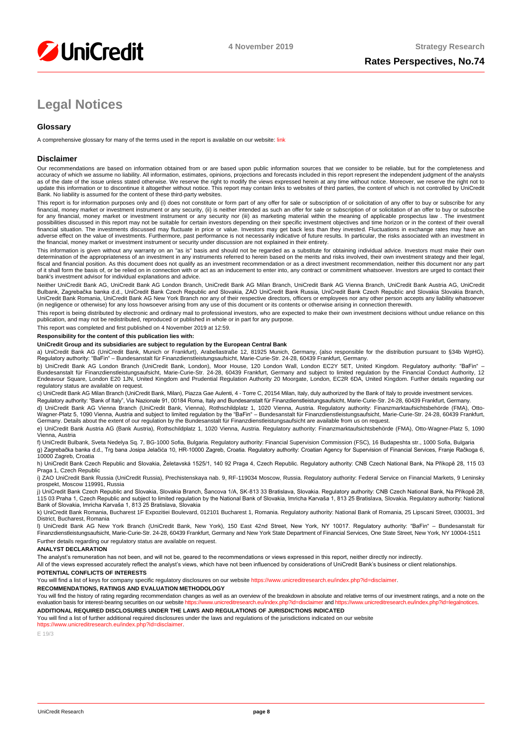

# **Legal Notices**

## **Glossary**

A comprehensive glossary for many of the terms used in the report is available on our website[: link](https://www.unicreditresearch.eu/index.php?id=glossary)

### **Disclaimer**

Our recommendations are based on information obtained from or are based upon public information sources that we consider to be reliable, but for the completeness and<br>accuracy of which we assume no liability. All informatio as of the date of the issue unless stated otherwise. We reserve the right to modify the views expressed herein at any time without notice. Moreover, we reserve the right not to update this information or to discontinue it altogether without notice. This report may contain links to websites of third parties, the content of which is not controlled by UniCredit Bank. No liability is assumed for the content of these third-party websites.

This report is for information purposes only and (i) does not constitute or form part of any offer for sale or subscription of or solicitation of any offer to buy or subscribe for any<br>financial, money market or investment for any financial, money market or investment instrument or any security nor (iii) as marketing material within the meaning of applicable prospectus law . The investment possibilities discussed in this report may not be suitable for certain investors depending on their specific investment objectives and time horizon or in the context of their overall<br>financial situation. The investments di adverse effect on the value of investments. Furthermore, past performance is not necessarily indicative of future results. In particular, the risks associated with an investment in the financial, money market or investment instrument or security under discussion are not explained in their entirety.

This information is given without any warranty on an "as is" basis and should not be regarded as a substitute for obtaining individual advice. Investors must make their own determination of the appropriateness of an investment in any instruments referred to herein based on the merits and risks involved, their own investment strategy and their legal,<br>fiscal and financial position. As this docu of it shall form the basis of, or be relied on in connection with or act as an inducement to enter into, any contract or commitment whatsoever. Investors are urged to contact their bank's investment advisor for individual explanations and advice.

Neither UniCredit Bank AG, UniCredit Bank AG London Branch, UniCredit Bank AG Milan Branch, UniCredit Bank AG Vienna Branch, UniCredit Bank Austria AG, UniCredit Bulbank, Zagrebačka banka d.d., UniCredit Bank Czech Republic and Slovakia, ZAO UniCredit Bank Russia, UniCredit Bank Czech Republic and Slovakia Slovakia Branch,<br>UniCredit Bank Romania, UniCredit Bank AG New York Branch n (in negligence or otherwise) for any loss howsoever arising from any use of this document or its contents or otherwise arising in connection therewith.

This report is being distributed by electronic and ordinary mail to professional investors, who are expected to make their own investment decisions without undue reliance on this publication, and may not be redistributed, reproduced or published in whole or in part for any purpose.

This report was completed and first published on 4 November 2019 at 12:59.

#### **Responsibility for the content of this publication lies with:**

#### **UniCredit Group and its subsidiaries are subject to regulation by the European Central Bank**

a) UniCredit Bank AG (UniCredit Bank, Munich or Frankfurt), Arabellastraße 12, 81925 Munich, Germany, (also responsible for the distribution pursuant to §34b WpHG). Regulatory authority: "BaFin" – Bundesanstalt für Finanzdienstleistungsaufsicht, Marie-Curie-Str. 24-28, 60439 Frankfurt, Germany.

b) UniCredit Bank AG London Branch (UniCredit Bank, London), Moor House, 120 London Wall, London EC2Y 5ET, United Kingdom. Regulatory authority: "BaFin" –<br>Bundesanstalt für Finanzdienstleistungsaufsicht, Marie-Curie-Str. 2 regulatory status are available on request.

c) UniCredit Bank AG Milan Branch (UniCredit Bank, Milan), Piazza Gae Aulenti, 4 - Torre C, 20154 Milan, Italy, duly authorized by the Bank of Italy to provide investment services.

Regulatory authority: "Bank of Italy", Via Nazionale 91, 00184 Roma, Italy and Bundesanstalt für Finanzdienstleistungsaufsicht, Marie-Curie-Str. 24-28, 60439 Frankfurt, Germany. d) UniCredit Bank AG Vienna Branch (UniCredit Bank, Vienna), Rothschildplatz 1, 1020 Vienna, Austria. Regulatory authority: Finanzmarktaufsichtsbehörde (FMA), Otto-

Wagner-Platz 5, 1090 Vienna, Austria and subject to limited regulation by the "BaFin" – Bundesanstalt für Finanzdienstleistungsaufsicht, Marie-Curie-Str. 24-28, 60439 Frankfurt,<br>Germany. Details about the extent of our reg

e) UniCredit Bank Austria AG (Bank Austria), Rothschildplatz 1, 1020 Vienna, Austria. Regulatory authority: Finanzmarktaufsichtsbehörde (FMA), Otto-Wagner-Platz 5, 1090 Vienna, Austria f) UniCredit Bulbank, Sveta Nedelya Sq. 7, BG-1000 Sofia, Bulgaria. Regulatory authority: Financial Supervision Commission (FSC), 16 Budapeshta str., 1000 Sofia, Bulgaria

g) Zagrebačka banka d.d., Trg bana Josipa Jelačića 10, HR-10000 Zagreb, Croatia. Regulatory authority: Croatian Agency for Supervision of Financial Services, Franje Račkoga 6, 10000 Zagreb, Croatia

h) UniCredit Bank Czech Republic and Slovakia, Želetavská 1525/1, 140 92 Praga 4, Czech Republic. Regulatory authority: CNB Czech National Bank, Na Příkopě 28, 115 03 Praga 1, Czech Republic

i) ZAO UniCredit Bank Russia (UniCredit Russia), Prechistenskaya nab. 9, RF-119034 Moscow, Russia, Regulatory authority: Federal Service on Financial Markets, 9 Leninsky prospekt, Moscow 119991, Russia

j) UniCredit Bank Czech Republic and Slovakia, Slovakia Branch, Sancova 1/A, SK-813 33 Bratislava, Slovakia. Regulatory authority: CNB Czech National Bank, Na Příkopě 28,<br>115 03 Praha 1, Czech Republic and subject to limit

k) UniCredit Bank Romania, Bucharest 1F Expozitiei Boulevard, 012101 Bucharest 1, Romania, Regulatory authority: National Bank of Romania, 25 Lipscani Street, 030031, 3rd District, Bucharest, Romania

l) UniCredit Bank AG New York Branch (UniCredit Bank, New York), 150 East 42nd Street, New York, NY 10017. Regulatory authority: "BaFin" – Bundesanstalt für Finanzdienstleistungsaufsicht, Marie-Curie-Str. 24-28, 60439 Frankfurt, Germany and New York State Department of Financial Services, One State Street, New York, NY 10004-1511 Further details regarding our regulatory status are available on request.

#### **ANALYST DECLARATION**

The analyst's remuneration has not been, and will not be, geared to the recommendations or views expressed in this report, neither directly nor indirectly.

All of the views expressed accurately reflect the analyst's views, which have not been influenced by considerations of UniCredit Bank's business or client relationships.

#### **POTENTIAL CONFLICTS OF INTERESTS**

You will find a list of keys for company specific regulatory disclosures on our websit[e https://www.unicreditresearch.eu/index.php?id=disclaimer.](https://www.unicreditresearch.eu/index.php?id=disclaimer)

#### **RECOMMENDATIONS, RATINGS AND EVALUATION METHODOLOGY**

You will find the history of rating regarding recommendation changes as well as an overview of the breakdown in absolute and relative terms of our investment ratings, and a note on the evaluation basis for interest-bearing evaluation basis for interest-bearing securities on our website https://www.unicreditresearch.euror.eu **ADDITIONAL REQUIRED DISCLOSURES UNDER THE LAWS AND REGULATIONS OF JURISDICTIONS INDICATED**

You will find a list of further additional required disclosures under the laws and regulations of the jurisdictions indicated on our website

#### https://www.unicreditresearch.eu/index.php?id=disc

E 19/3